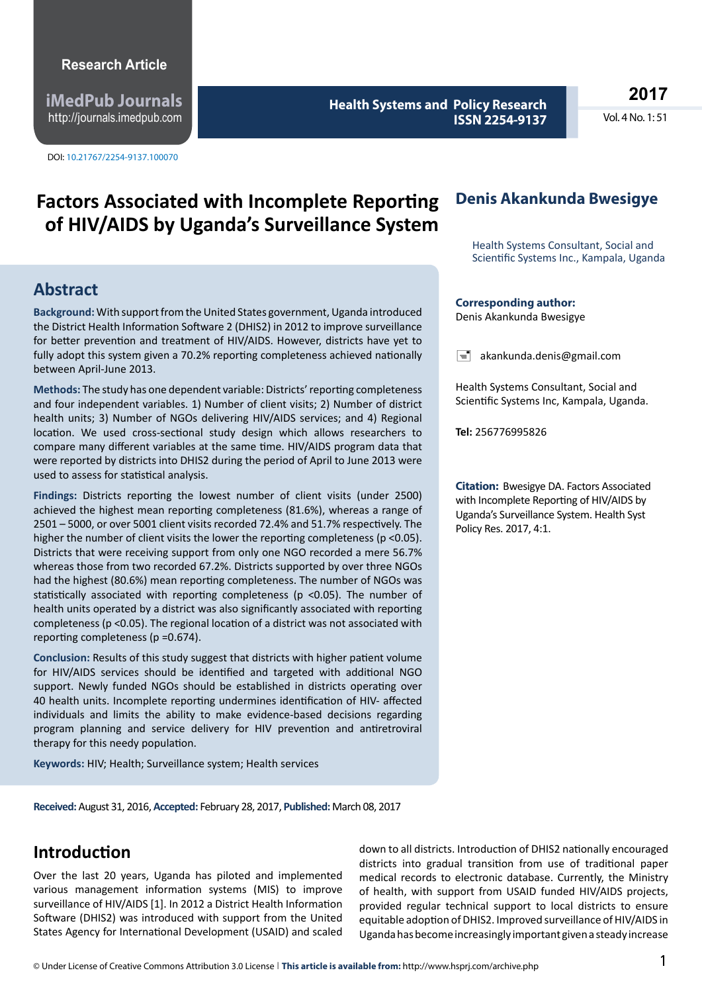### **Research Article**

**iMedPub Journals** [http://journals](http://journals.imedpub.com/).imedpub.com

DOI: 10.21767/2254-9137.100070

**Health Systems and Policy Research ISSN 2254-9137**

**2017**

Vol. 4 No. 1: 51

# **Factors Associated with Incomplete Reporting of HIV/AIDS by Uganda's Surveillance System**

## **Abstract**

**Background:** With support from the United States government, Uganda introduced the District Health Information Software 2 (DHIS2) in 2012 to improve surveillance for better prevention and treatment of HIV/AIDS. However, districts have yet to fully adopt this system given a 70.2% reporting completeness achieved nationally between April-June 2013.

**Methods:** The study has one dependent variable: Districts' reporting completeness and four independent variables. 1) Number of client visits; 2) Number of district health units; 3) Number of NGOs delivering HIV/AIDS services; and 4) Regional location. We used cross-sectional study design which allows researchers to compare many different variables at the same time. HIV/AIDS program data that were reported by districts into DHIS2 during the period of April to June 2013 were used to assess for statistical analysis.

**Findings:** Districts reporting the lowest number of client visits (under 2500) achieved the highest mean reporting completeness (81.6%), whereas a range of 2501 – 5000, or over 5001 client visits recorded 72.4% and 51.7% respectively. The higher the number of client visits the lower the reporting completeness (p <0.05). Districts that were receiving support from only one NGO recorded a mere 56.7% whereas those from two recorded 67.2%. Districts supported by over three NGOs had the highest (80.6%) mean reporting completeness. The number of NGOs was statistically associated with reporting completeness (p <0.05). The number of health units operated by a district was also significantly associated with reporting completeness (p <0.05). The regional location of a district was not associated with reporting completeness (p =0.674).

**Conclusion:** Results of this study suggest that districts with higher patient volume for HIV/AIDS services should be identified and targeted with additional NGO support. Newly funded NGOs should be established in districts operating over 40 health units. Incomplete reporting undermines identification of HIV- affected individuals and limits the ability to make evidence-based decisions regarding program planning and service delivery for HIV prevention and antiretroviral therapy for this needy population.

**Keywords:** HIV; Health; Surveillance system; Health services

## **Denis Akankunda Bwesigye**

Health Systems Consultant, Social and Scientific Systems Inc., Kampala, Uganda

### **Corresponding author:**

Denis Akankunda Bwesigye

 $\equiv$  akankunda.denis@gmail.com

Health Systems Consultant, Social and Scientific Systems Inc, Kampala, Uganda.

**Tel:** 256776995826

**Citation:** Bwesigye DA. Factors Associated with Incomplete Reporting of HIV/AIDS by Uganda's Surveillance System. Health Syst Policy Res. 2017, 4:1.

**Received:** August 31, 2016,**Accepted:** February 28, 2017, **Published:** March 08, 2017

## **Introduction**

Over the last 20 years, Uganda has piloted and implemented various management information systems (MIS) to improve surveillance of HIV/AIDS [1]. In 2012 a District Health Information Software (DHIS2) was introduced with support from the United States Agency for International Development (USAID) and scaled down to all districts. Introduction of DHIS2 nationally encouraged districts into gradual transition from use of traditional paper medical records to electronic database. Currently, the Ministry of health, with support from USAID funded HIV/AIDS projects, provided regular technical support to local districts to ensure equitable adoption of DHIS2. Improved surveillance of HIV/AIDS in Uganda has become increasingly important given a steady increase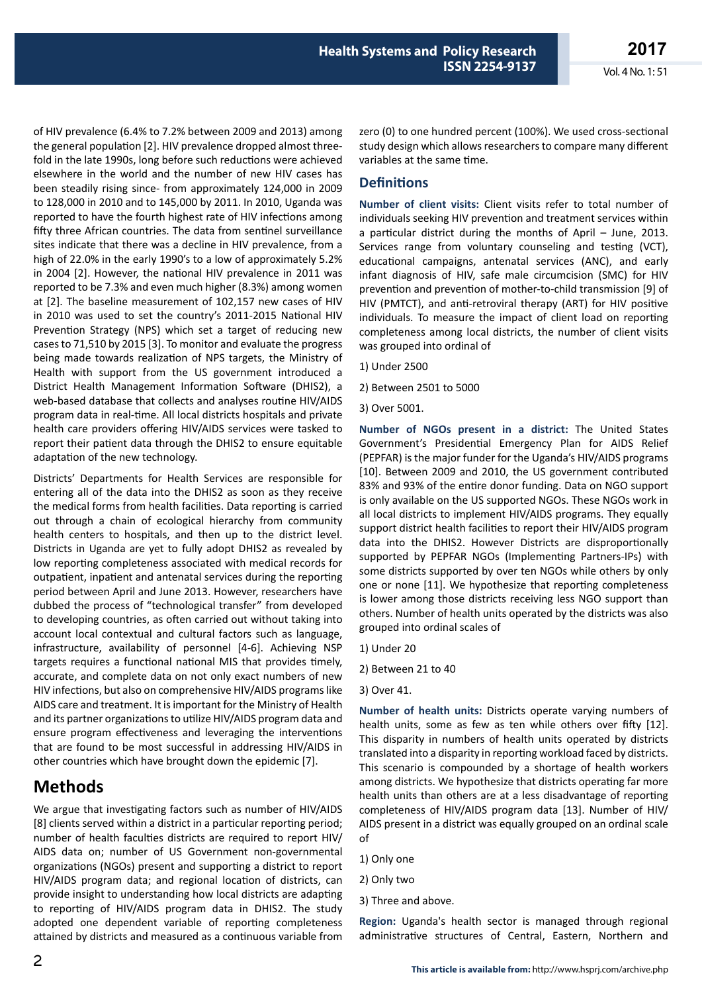of HIV prevalence (6.4% to 7.2% between 2009 and 2013) among the general population [2]. HIV prevalence dropped almost threefold in the late 1990s, long before such reductions were achieved elsewhere in the world and the number of new HIV cases has been steadily rising since- from approximately 124,000 in 2009 to 128,000 in 2010 and to 145,000 by 2011. In 2010, Uganda was reported to have the fourth highest rate of HIV infections among fifty three African countries. The data from sentinel surveillance sites indicate that there was a decline in HIV prevalence, from a high of 22.0% in the early 1990's to a low of approximately 5.2% in 2004 [2]. However, the national HIV prevalence in 2011 was reported to be 7.3% and even much higher (8.3%) among women at [2]. The baseline measurement of 102,157 new cases of HIV in 2010 was used to set the country's 2011-2015 National HIV Prevention Strategy (NPS) which set a target of reducing new cases to 71,510 by 2015 [3]. To monitor and evaluate the progress being made towards realization of NPS targets, the Ministry of Health with support from the US government introduced a District Health Management Information Software (DHIS2), a web-based database that collects and analyses routine HIV/AIDS program data in real-time. All local districts hospitals and private health care providers offering HIV/AIDS services were tasked to report their patient data through the DHIS2 to ensure equitable adaptation of the new technology.

Districts' Departments for Health Services are responsible for entering all of the data into the DHIS2 as soon as they receive the medical forms from health facilities. Data reporting is carried out through a chain of ecological hierarchy from community health centers to hospitals, and then up to the district level. Districts in Uganda are yet to fully adopt DHIS2 as revealed by low reporting completeness associated with medical records for outpatient, inpatient and antenatal services during the reporting period between April and June 2013. However, researchers have dubbed the process of "technological transfer" from developed to developing countries, as often carried out without taking into account local contextual and cultural factors such as language, infrastructure, availability of personnel [4-6]. Achieving NSP targets requires a functional national MIS that provides timely, accurate, and complete data on not only exact numbers of new HIV infections, but also on comprehensive HIV/AIDS programs like AIDS care and treatment. It is important for the Ministry of Health and its partner organizations to utilize HIV/AIDS program data and ensure program effectiveness and leveraging the interventions that are found to be most successful in addressing HIV/AIDS in other countries which have brought down the epidemic [7].

## **Methods**

We argue that investigating factors such as number of HIV/AIDS [8] clients served within a district in a particular reporting period; number of health faculties districts are required to report HIV/ AIDS data on; number of US Government non-governmental organizations (NGOs) present and supporting a district to report HIV/AIDS program data; and regional location of districts, can provide insight to understanding how local districts are adapting to reporting of HIV/AIDS program data in DHIS2. The study adopted one dependent variable of reporting completeness attained by districts and measured as a continuous variable from

zero (0) to one hundred percent (100%). We used cross-sectional study design which allows researchers to compare many different variables at the same time.

### **Definitions**

**Number of client visits:** Client visits refer to total number of individuals seeking HIV prevention and treatment services within a particular district during the months of April – June, 2013. Services range from voluntary counseling and testing (VCT), educational campaigns, antenatal services (ANC), and early infant diagnosis of HIV, safe male circumcision (SMC) for HIV prevention and prevention of mother-to-child transmission [9] of HIV (PMTCT), and anti-retroviral therapy (ART) for HIV positive individuals. To measure the impact of client load on reporting completeness among local districts, the number of client visits was grouped into ordinal of

- 1) Under 2500
- 2) Between 2501 to 5000
- 3) Over 5001.

**Number of NGOs present in a district:** The United States Government's Presidential Emergency Plan for AIDS Relief (PEPFAR) is the major funder for the Uganda's HIV/AIDS programs [10]. Between 2009 and 2010, the US government contributed 83% and 93% of the entire donor funding. Data on NGO support is only available on the US supported NGOs. These NGOs work in all local districts to implement HIV/AIDS programs. They equally support district health facilities to report their HIV/AIDS program data into the DHIS2. However Districts are disproportionally supported by PEPFAR NGOs (Implementing Partners-IPs) with some districts supported by over ten NGOs while others by only one or none [11]. We hypothesize that reporting completeness is lower among those districts receiving less NGO support than others. Number of health units operated by the districts was also grouped into ordinal scales of

- 1) Under 20
- 2) Between 21 to 40
- 3) Over 41.

**Number of health units:** Districts operate varying numbers of health units, some as few as ten while others over fifty [12]. This disparity in numbers of health units operated by districts translated into a disparity in reporting workload faced by districts. This scenario is compounded by a shortage of health workers among districts. We hypothesize that districts operating far more health units than others are at a less disadvantage of reporting completeness of HIV/AIDS program data [13]. Number of HIV/ AIDS present in a district was equally grouped on an ordinal scale of

- 1) Only one
- 2) Only two
- 3) Three and above.

**Region:** Uganda's health sector is managed through regional administrative structures of Central, Eastern, Northern and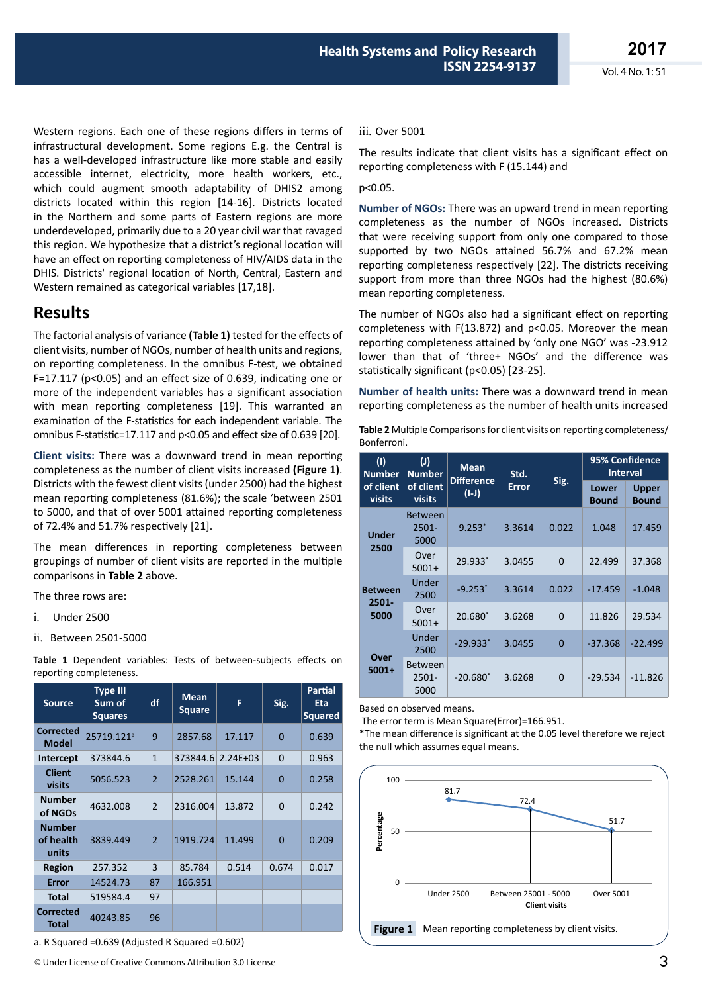Western regions. Each one of these regions differs in terms of infrastructural development. Some regions E.g. the Central is has a well-developed infrastructure like more stable and easily accessible internet, electricity, more health workers, etc., which could augment smooth adaptability of DHIS2 among districts located within this region [14-16]. Districts located in the Northern and some parts of Eastern regions are more underdeveloped, primarily due to a 20 year civil war that ravaged this region. We hypothesize that a district's regional location will have an effect on reporting completeness of HIV/AIDS data in the DHIS. Districts' regional location of North, Central, Eastern and Western remained as categorical variables [17,18].

### **Results**

The factorial analysis of variance **(Table 1)** tested for the effects of client visits, number of NGOs, number of health units and regions, on reporting completeness. In the omnibus F-test, we obtained F=17.117 (p<0.05) and an effect size of 0.639, indicating one or more of the independent variables has a significant association with mean reporting completeness [19]. This warranted an examination of the F-statistics for each independent variable. The omnibus F-statistic=17.117 and p<0.05 and effect size of 0.639 [20].

**Client visits:** There was a downward trend in mean reporting completeness as the number of client visits increased **(Figure 1)**. Districts with the fewest client visits (under 2500) had the highest mean reporting completeness (81.6%); the scale 'between 2501 to 5000, and that of over 5001 attained reporting completeness of 72.4% and 51.7% respectively [21].

The mean differences in reporting completeness between groupings of number of client visits are reported in the multiple comparisons in **Table 2** above.

The three rows are:

- i. Under 2500
- ii. Between 2501-5000

| <b>Source</b>                       | <b>Type III</b><br>Sum of<br><b>Squares</b> | df                       | <b>Mean</b><br><b>Square</b> | F                 | Sig.        | <b>Partial</b><br>Eta<br><b>Squared</b> |
|-------------------------------------|---------------------------------------------|--------------------------|------------------------------|-------------------|-------------|-----------------------------------------|
| <b>Corrected</b><br><b>Model</b>    | 25719.121 <sup>a</sup>                      | 9                        | 2857.68                      | 17.117            | $\mathbf 0$ | 0.639                                   |
| Intercept                           | 373844.6                                    | $\mathbf{1}$             |                              | 373844.6 2.24E+03 | $\Omega$    | 0.963                                   |
| <b>Client</b><br>visits             | 5056.523                                    | $\overline{\phantom{0}}$ | 2528.261                     | 15.144            | 0           | 0.258                                   |
| <b>Number</b><br>of NGOs            | 4632.008                                    | $\mathfrak{p}$           | 2316.004                     | 13.872            | $\Omega$    | 0.242                                   |
| <b>Number</b><br>of health<br>units | 3839.449                                    | $\overline{\phantom{0}}$ | 1919.724                     | 11.499            | 0           | 0.209                                   |
| Region                              | 257.352                                     | 3                        | 85.784                       | 0.514             | 0.674       | 0.017                                   |
| Error                               | 14524.73                                    | 87                       | 166.951                      |                   |             |                                         |
| Total                               | 519584.4                                    | 97                       |                              |                   |             |                                         |
| <b>Corrected</b><br>Total           | 40243.85                                    | 96                       |                              |                   |             |                                         |

**Table 1** Dependent variables: Tests of between-subjects effects on reporting completeness.

### a. R Squared =0.639 (Adjusted R Squared =0.602)

iii. Over 5001

The results indicate that client visits has a significant effect on reporting completeness with F (15.144) and

#### p<0.05.

**Number of NGOs:** There was an upward trend in mean reporting completeness as the number of NGOs increased. Districts that were receiving support from only one compared to those supported by two NGOs attained 56.7% and 67.2% mean reporting completeness respectively [22]. The districts receiving support from more than three NGOs had the highest (80.6%) mean reporting completeness.

The number of NGOs also had a significant effect on reporting completeness with F(13.872) and p<0.05. Moreover the mean reporting completeness attained by 'only one NGO' was -23.912 lower than that of 'three+ NGOs' and the difference was statistically significant (p<0.05) [23-25].

**Number of health units:** There was a downward trend in mean reporting completeness as the number of health units increased

**Table 2** Multiple Comparisons for client visits on reporting completeness/ Bonferroni.

| (1)<br><b>Number</b><br>of client<br>visits | $\mathbf{U}$<br><b>Number</b><br>of client<br>visits | <b>Mean</b><br><b>Difference</b><br>$(I-J)$ | Std.<br><b>Error</b> | Sig.     | 95% Confidence<br><b>Interval</b> |                              |
|---------------------------------------------|------------------------------------------------------|---------------------------------------------|----------------------|----------|-----------------------------------|------------------------------|
|                                             |                                                      |                                             |                      |          | Lower<br><b>Bound</b>             | <b>Upper</b><br><b>Bound</b> |
| <b>Under</b><br>2500                        | <b>Between</b><br>$2501 -$<br>5000                   | $9.253*$                                    | 3.3614               | 0.022    | 1.048                             | 17.459                       |
|                                             | Over<br>$5001+$                                      | 29.933*                                     | 3.0455               | $\Omega$ | 22.499                            | 37.368                       |
| <b>Between</b><br>2501-<br>5000             | Under<br>2500                                        | $-9.253$ <sup>*</sup>                       | 3.3614               | 0.022    | $-17.459$                         | $-1.048$                     |
|                                             | Over<br>$5001+$                                      | 20.680*                                     | 3.6268               | $\Omega$ | 11.826                            | 29.534                       |
| Over<br>$5001+$                             | Under<br>2500                                        | $-29.933*$                                  | 3.0455               | 0        | $-37.368$                         | $-22.499$                    |
|                                             | Between<br>2501-<br>5000                             | $-20.680"$                                  | 3.6268               | $\Omega$ | $-29.534$                         | $-11.826$                    |

Based on observed means.

The error term is Mean Square(Error)=166.951.

\*The mean difference is significant at the 0.05 level therefore we reject the null which assumes equal means.



 $\circ$  Under License of Creative Commons Attribution 3.0 License 3 and 3 and 3 and 3 3  $\circ$  3 and 3 3  $\circ$  3  $\circ$  3  $\circ$  3  $\circ$  3  $\circ$  3  $\circ$  4  $\circ$  4  $\circ$  4  $\circ$  4  $\circ$  4  $\circ$  4  $\circ$  4  $\circ$  4  $\circ$  4  $\circ$  4  $\circ$  4  $\circ$  4  $\$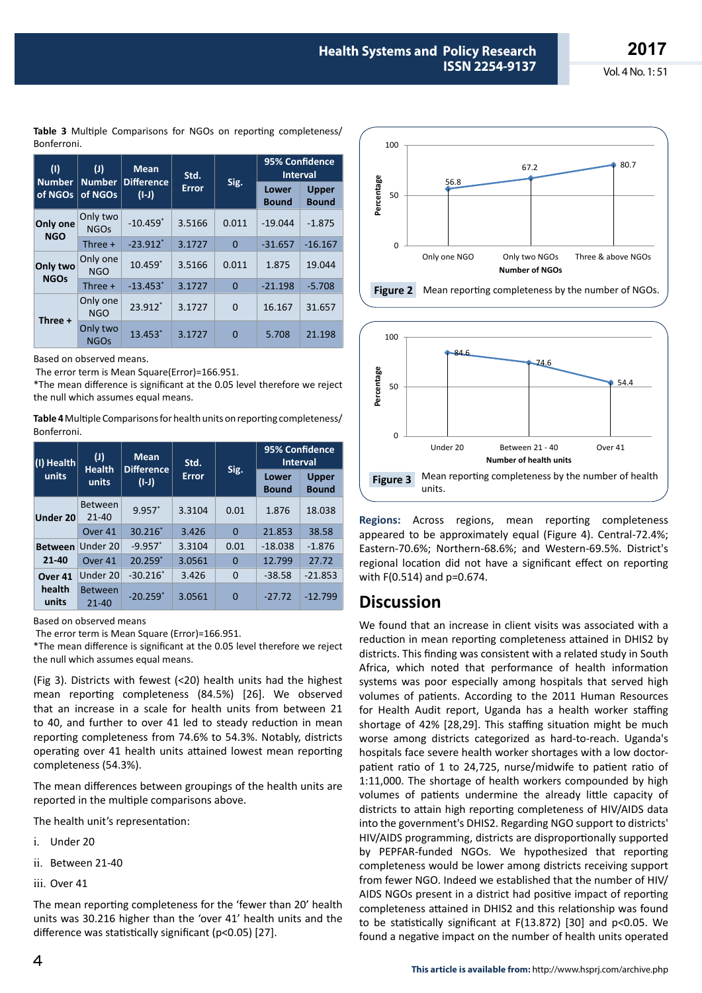Vol. 4 No. 1: 51

**2017**

**Table 3** Multiple Comparisons for NGOs on reporting completeness/ Bonferroni.

| (1)<br><b>Number</b><br>of NGOs | $\mathbf{U}$<br><b>Number</b><br>of NGOs | <b>Mean</b><br><b>Difference</b><br>$(I-I)$ | Std.<br>Error |          | 95% Confidence<br><b>Interval</b> |                              |
|---------------------------------|------------------------------------------|---------------------------------------------|---------------|----------|-----------------------------------|------------------------------|
|                                 |                                          |                                             |               | Sig.     | Lower<br><b>Bound</b>             | <b>Upper</b><br><b>Bound</b> |
| Only one<br><b>NGO</b>          | Only two<br><b>NGOs</b>                  | $-10.459*$                                  | 3.5166        | 0.011    | $-19.044$                         | $-1.875$                     |
|                                 | Three $+$                                | $-23.912$ <sup>*</sup>                      | 3.1727        | $\Omega$ | $-31.657$                         | $-16.167$                    |
| Only two<br><b>NGOs</b>         | Only one<br><b>NGO</b>                   | $10.459*$                                   | 3.5166        | 0.011    | 1.875                             | 19.044                       |
|                                 | Three $+$                                | $-13.453$ <sup>*</sup>                      | 3.1727        | $\Omega$ | $-21.198$                         | $-5.708$                     |
| Three $+$                       | Only one<br><b>NGO</b>                   | 23.912*                                     | 3.1727        | $\Omega$ | 16.167                            | 31.657                       |
|                                 | Only two<br><b>NGOs</b>                  | 13.453*                                     | 3.1727        | 0        | 5.708                             | 21.198                       |

#### Based on observed means.

The error term is Mean Square(Error)=166.951.

\*The mean difference is significant at the 0.05 level therefore we reject the null which assumes equal means.

**Table 4** Multiple Comparisons for health units on reporting completeness/ Bonferroni.

| (I) Health<br>units | $\mathbf{U}$<br><b>Health</b><br>units | <b>Mean</b><br><b>Difference</b><br>$(I-I)$ | Std.<br><b>Error</b> |          | 95% Confidence<br><b>Interval</b> |                                        |
|---------------------|----------------------------------------|---------------------------------------------|----------------------|----------|-----------------------------------|----------------------------------------|
|                     |                                        |                                             |                      | Sig.     | Lower<br><b>Bound</b>             | <b>Upper</b><br><b>Bound</b><br>18.038 |
| Under 20            | <b>Between</b><br>$21 - 40$            | $9.957$ *                                   | 3.3104               | 0.01     | 1.876                             |                                        |
|                     | Over <sub>41</sub>                     | $30.216*$                                   | 3.426                | $\Omega$ | 21.853                            | 38.58                                  |
| <b>Between</b>      | Under 20                               | $-9.957$ <sup>*</sup>                       | 3.3104               | 0.01     | $-18.038$                         | $-1.876$                               |
| 21-40               | Over <sub>41</sub>                     | $20.259*$                                   | 3.0561               | $\Omega$ | 12.799                            | 27.72                                  |
| Over <sub>41</sub>  | Under 20                               | $-30.216$ <sup>*</sup>                      | 3.426                | $\Omega$ | $-38.58$                          | $-21.853$                              |
| health<br>units     | <b>Between</b><br>$21 - 40$            | $-20.259$ <sup>*</sup>                      | 3.0561               | 0        | $-27.72$                          | $-12.799$                              |

Based on observed means

The error term is Mean Square (Error)=166.951.

\*The mean difference is significant at the 0.05 level therefore we reject the null which assumes equal means.

(Fig 3). Districts with fewest (<20) health units had the highest mean reporting completeness (84.5%) [26]. We observed that an increase in a scale for health units from between 21 to 40, and further to over 41 led to steady reduction in mean reporting completeness from 74.6% to 54.3%. Notably, districts operating over 41 health units attained lowest mean reporting completeness (54.3%).

The mean differences between groupings of the health units are reported in the multiple comparisons above.

The health unit's representation:

- i. Under 20
- ii. Between 21-40
- iii. Over 41

The mean reporting completeness for the 'fewer than 20' health units was 30.216 higher than the 'over 41' health units and the difference was statistically significant (p<0.05) [27].





**Regions:** Across regions, mean reporting completeness appeared to be approximately equal (Figure 4). Central-72.4%; Eastern-70.6%; Northern-68.6%; and Western-69.5%. District's regional location did not have a significant effect on reporting with F(0.514) and p=0.674.

### **Discussion**

We found that an increase in client visits was associated with a reduction in mean reporting completeness attained in DHIS2 by districts. This finding was consistent with a related study in South Africa, which noted that performance of health information systems was poor especially among hospitals that served high volumes of patients. According to the 2011 Human Resources for Health Audit report, Uganda has a health worker staffing shortage of 42% [28,29]. This staffing situation might be much worse among districts categorized as hard-to-reach. Uganda's hospitals face severe health worker shortages with a low doctorpatient ratio of 1 to 24,725, nurse/midwife to patient ratio of 1:11,000. The shortage of health workers compounded by high volumes of patients undermine the already little capacity of districts to attain high reporting completeness of HIV/AIDS data into the government's DHIS2. Regarding NGO support to districts' HIV/AIDS programming, districts are disproportionally supported by PEPFAR-funded NGOs. We hypothesized that reporting completeness would be lower among districts receiving support from fewer NGO. Indeed we established that the number of HIV/ AIDS NGOs present in a district had positive impact of reporting completeness attained in DHIS2 and this relationship was found to be statistically significant at F(13.872) [30] and p<0.05. We found a negative impact on the number of health units operated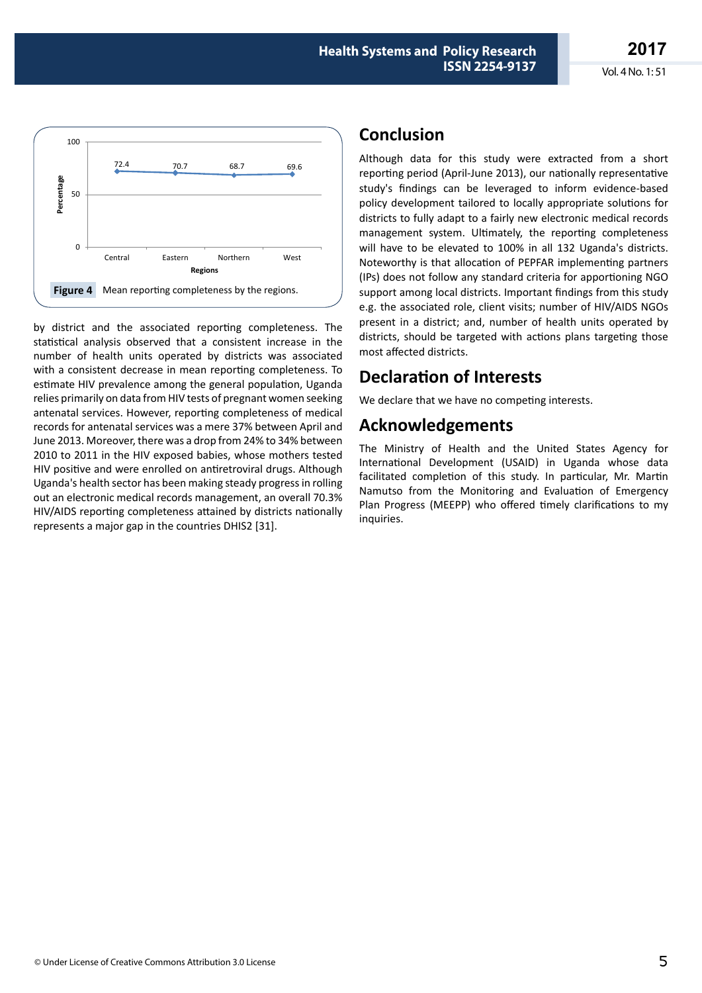**2017** Vol. 4 No. 1: 51



by district and the associated reporting completeness. The statistical analysis observed that a consistent increase in the number of health units operated by districts was associated with a consistent decrease in mean reporting completeness. To estimate HIV prevalence among the general population, Uganda relies primarily on data from HIV tests of pregnant women seeking antenatal services. However, reporting completeness of medical records for antenatal services was a mere 37% between April and June 2013. Moreover, there was a drop from 24% to 34% between 2010 to 2011 in the HIV exposed babies, whose mothers tested HIV positive and were enrolled on antiretroviral drugs. Although Uganda's health sector has been making steady progress in rolling out an electronic medical records management, an overall 70.3% HIV/AIDS reporting completeness attained by districts nationally represents a major gap in the countries DHIS2 [31].

## **Conclusion**

Although data for this study were extracted from a short reporting period (April-June 2013), our nationally representative study's findings can be leveraged to inform evidence-based policy development tailored to locally appropriate solutions for districts to fully adapt to a fairly new electronic medical records management system. Ultimately, the reporting completeness will have to be elevated to 100% in all 132 Uganda's districts. Noteworthy is that allocation of PEPFAR implementing partners (IPs) does not follow any standard criteria for apportioning NGO support among local districts. Important findings from this study e.g. the associated role, client visits; number of HIV/AIDS NGOs present in a district; and, number of health units operated by districts, should be targeted with actions plans targeting those most affected districts.

# **Declaration of Interests**

We declare that we have no competing interests.

# **Acknowledgements**

The Ministry of Health and the United States Agency for International Development (USAID) in Uganda whose data facilitated completion of this study. In particular, Mr. Martin Namutso from the Monitoring and Evaluation of Emergency Plan Progress (MEEPP) who offered timely clarifications to my inquiries.